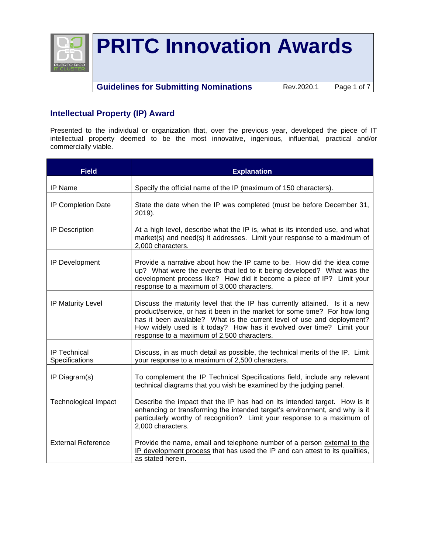

**Guidelines for Submitting Nominations** | Rev.2020.1 Page 1 of 7

### **Intellectual Property (IP) Award**

Presented to the individual or organization that, over the previous year, developed the piece of IT intellectual property deemed to be the most innovative, ingenious, influential, practical and/or commercially viable.

| <b>Field</b>                          | <b>Explanation</b>                                                                                                                                                                                                                                                                                                                                        |  |  |
|---------------------------------------|-----------------------------------------------------------------------------------------------------------------------------------------------------------------------------------------------------------------------------------------------------------------------------------------------------------------------------------------------------------|--|--|
| IP Name                               | Specify the official name of the IP (maximum of 150 characters).                                                                                                                                                                                                                                                                                          |  |  |
| IP Completion Date                    | State the date when the IP was completed (must be before December 31,<br>2019).                                                                                                                                                                                                                                                                           |  |  |
| IP Description                        | At a high level, describe what the IP is, what is its intended use, and what<br>market(s) and need(s) it addresses. Limit your response to a maximum of<br>2,000 characters.                                                                                                                                                                              |  |  |
| IP Development                        | Provide a narrative about how the IP came to be. How did the idea come<br>up? What were the events that led to it being developed? What was the<br>development process like? How did it become a piece of IP? Limit your<br>response to a maximum of 3,000 characters.                                                                                    |  |  |
| <b>IP Maturity Level</b>              | Discuss the maturity level that the IP has currently attained. Is it a new<br>product/service, or has it been in the market for some time? For how long<br>has it been available? What is the current level of use and deployment?<br>How widely used is it today? How has it evolved over time? Limit your<br>response to a maximum of 2,500 characters. |  |  |
| <b>IP Technical</b><br>Specifications | Discuss, in as much detail as possible, the technical merits of the IP. Limit<br>your response to a maximum of 2,500 characters.                                                                                                                                                                                                                          |  |  |
| IP Diagram(s)                         | To complement the IP Technical Specifications field, include any relevant<br>technical diagrams that you wish be examined by the judging panel.                                                                                                                                                                                                           |  |  |
| <b>Technological Impact</b>           | Describe the impact that the IP has had on its intended target. How is it<br>enhancing or transforming the intended target's environment, and why is it<br>particularly worthy of recognition? Limit your response to a maximum of<br>2.000 characters.                                                                                                   |  |  |
| <b>External Reference</b>             | Provide the name, email and telephone number of a person external to the<br>IP development process that has used the IP and can attest to its qualities,<br>as stated herein.                                                                                                                                                                             |  |  |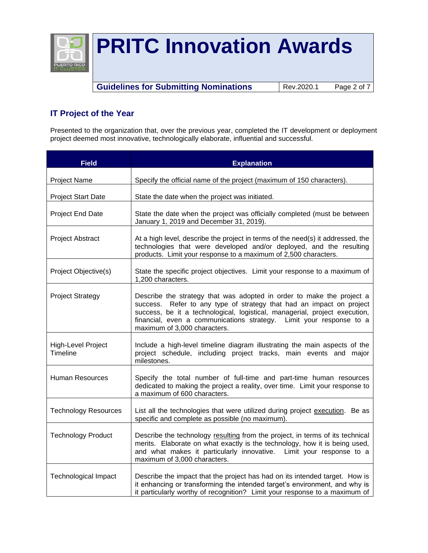

**Guidelines for Submitting Nominations** Rev.2020.1 Page 2 of 7

## **IT Project of the Year**

Presented to the organization that, over the previous year, completed the IT development or deployment project deemed most innovative, technologically elaborate, influential and successful.

| <b>Field</b>                   | <b>Explanation</b>                                                                                                                                                                                                                                                                                                                 |  |
|--------------------------------|------------------------------------------------------------------------------------------------------------------------------------------------------------------------------------------------------------------------------------------------------------------------------------------------------------------------------------|--|
| Project Name                   | Specify the official name of the project (maximum of 150 characters).                                                                                                                                                                                                                                                              |  |
| <b>Project Start Date</b>      | State the date when the project was initiated.                                                                                                                                                                                                                                                                                     |  |
| Project End Date               | State the date when the project was officially completed (must be between<br>January 1, 2019 and December 31, 2019).                                                                                                                                                                                                               |  |
| <b>Project Abstract</b>        | At a high level, describe the project in terms of the need(s) it addressed, the<br>technologies that were developed and/or deployed, and the resulting<br>products. Limit your response to a maximum of 2,500 characters.                                                                                                          |  |
| Project Objective(s)           | State the specific project objectives. Limit your response to a maximum of<br>1,200 characters.                                                                                                                                                                                                                                    |  |
| <b>Project Strategy</b>        | Describe the strategy that was adopted in order to make the project a<br>success. Refer to any type of strategy that had an impact on project<br>success, be it a technological, logistical, managerial, project execution,<br>financial, even a communications strategy. Limit your response to a<br>maximum of 3,000 characters. |  |
| High-Level Project<br>Timeline | Include a high-level timeline diagram illustrating the main aspects of the<br>project schedule, including project tracks, main events and major<br>milestones.                                                                                                                                                                     |  |
| <b>Human Resources</b>         | Specify the total number of full-time and part-time human resources<br>dedicated to making the project a reality, over time. Limit your response to<br>a maximum of 600 characters.                                                                                                                                                |  |
| <b>Technology Resources</b>    | List all the technologies that were utilized during project execution. Be as<br>specific and complete as possible (no maximum).                                                                                                                                                                                                    |  |
| <b>Technology Product</b>      | Describe the technology resulting from the project, in terms of its technical<br>merits. Elaborate on what exactly is the technology, how it is being used,<br>and what makes it particularly innovative. Limit your response to a<br>maximum of 3,000 characters.                                                                 |  |
| <b>Technological Impact</b>    | Describe the impact that the project has had on its intended target. How is<br>it enhancing or transforming the intended target's environment, and why is<br>it particularly worthy of recognition? Limit your response to a maximum of                                                                                            |  |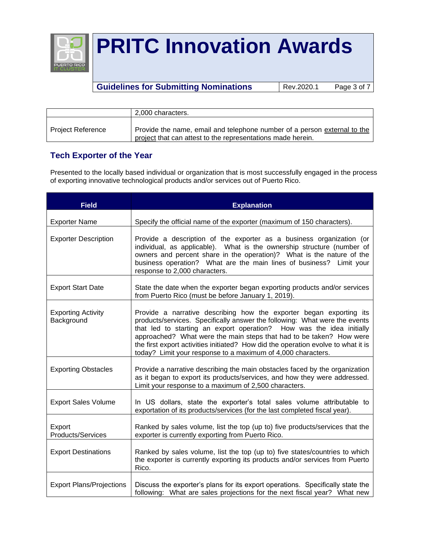

### **Guidelines for Submitting Nominations** Rev.2020.1 Page 3 of 7

|                          | 2.000 characters.                                                                                                                       |
|--------------------------|-----------------------------------------------------------------------------------------------------------------------------------------|
| <b>Project Reference</b> | Provide the name, email and telephone number of a person external to the<br>project that can attest to the representations made herein. |

### **Tech Exporter of the Year**

Presented to the locally based individual or organization that is most successfully engaged in the process of exporting innovative technological products and/or services out of Puerto Rico.

| <b>Field</b>                            | <b>Explanation</b>                                                                                                                                                                                                                                                                                                                                                                                                                                    |  |  |
|-----------------------------------------|-------------------------------------------------------------------------------------------------------------------------------------------------------------------------------------------------------------------------------------------------------------------------------------------------------------------------------------------------------------------------------------------------------------------------------------------------------|--|--|
| <b>Exporter Name</b>                    | Specify the official name of the exporter (maximum of 150 characters).                                                                                                                                                                                                                                                                                                                                                                                |  |  |
| <b>Exporter Description</b>             | Provide a description of the exporter as a business organization (or<br>individual, as applicable). What is the ownership structure (number of<br>owners and percent share in the operation)? What is the nature of the<br>business operation? What are the main lines of business? Limit your<br>response to 2,000 characters.                                                                                                                       |  |  |
| <b>Export Start Date</b>                | State the date when the exporter began exporting products and/or services<br>from Puerto Rico (must be before January 1, 2019).                                                                                                                                                                                                                                                                                                                       |  |  |
| <b>Exporting Activity</b><br>Background | Provide a narrative describing how the exporter began exporting its<br>products/services. Specifically answer the following: What were the events<br>that led to starting an export operation? How was the idea initially<br>approached? What were the main steps that had to be taken? How were<br>the first export activities initiated? How did the operation evolve to what it is<br>today? Limit your response to a maximum of 4,000 characters. |  |  |
| <b>Exporting Obstacles</b>              | Provide a narrative describing the main obstacles faced by the organization<br>as it began to export its products/services, and how they were addressed.<br>Limit your response to a maximum of 2,500 characters.                                                                                                                                                                                                                                     |  |  |
| <b>Export Sales Volume</b>              | In US dollars, state the exporter's total sales volume attributable to<br>exportation of its products/services (for the last completed fiscal year).                                                                                                                                                                                                                                                                                                  |  |  |
| Export<br><b>Products/Services</b>      | Ranked by sales volume, list the top (up to) five products/services that the<br>exporter is currently exporting from Puerto Rico.                                                                                                                                                                                                                                                                                                                     |  |  |
| <b>Export Destinations</b>              | Ranked by sales volume, list the top (up to) five states/countries to which<br>the exporter is currently exporting its products and/or services from Puerto<br>Rico.                                                                                                                                                                                                                                                                                  |  |  |
| <b>Export Plans/Projections</b>         | Discuss the exporter's plans for its export operations. Specifically state the<br>following: What are sales projections for the next fiscal year? What new                                                                                                                                                                                                                                                                                            |  |  |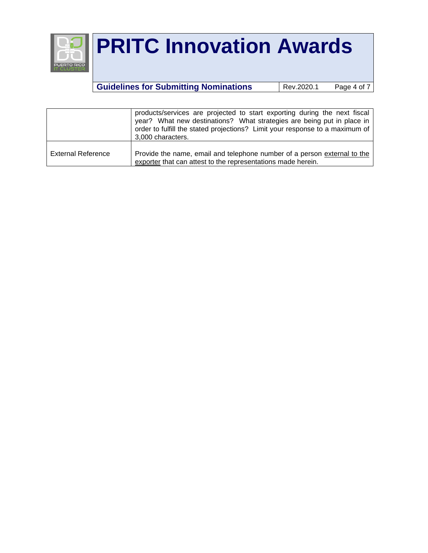

## **Guidelines for Submitting Nominations** Rev.2020.1 Page 4 of 7

|                           | products/services are projected to start exporting during the next fiscal<br>year? What new destinations? What strategies are being put in place in<br>order to fulfill the stated projections? Limit your response to a maximum of |
|---------------------------|-------------------------------------------------------------------------------------------------------------------------------------------------------------------------------------------------------------------------------------|
| <b>External Reference</b> | 3,000 characters.<br>Provide the name, email and telephone number of a person external to the<br>exporter that can attest to the representations made herein.                                                                       |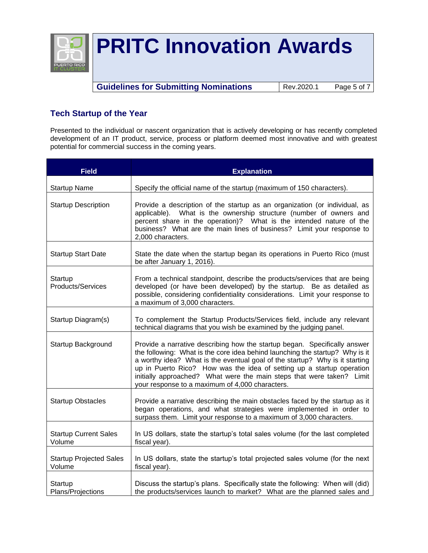

**Guidelines for Submitting Nominations** | Rev.2020.1 Page 5 of 7

## **Tech Startup of the Year**

Presented to the individual or nascent organization that is actively developing or has recently completed development of an IT product, service, process or platform deemed most innovative and with greatest potential for commercial success in the coming years.

| <b>Field</b>                             | <b>Explanation</b>                                                                                                                                                                                                                                                                                                                                                                                                                            |  |  |
|------------------------------------------|-----------------------------------------------------------------------------------------------------------------------------------------------------------------------------------------------------------------------------------------------------------------------------------------------------------------------------------------------------------------------------------------------------------------------------------------------|--|--|
| <b>Startup Name</b>                      | Specify the official name of the startup (maximum of 150 characters).                                                                                                                                                                                                                                                                                                                                                                         |  |  |
| <b>Startup Description</b>               | Provide a description of the startup as an organization (or individual, as<br>applicable). What is the ownership structure (number of owners and<br>percent share in the operation)? What is the intended nature of the<br>business? What are the main lines of business? Limit your response to<br>2,000 characters.                                                                                                                         |  |  |
| <b>Startup Start Date</b>                | State the date when the startup began its operations in Puerto Rico (must<br>be after January 1, 2016).                                                                                                                                                                                                                                                                                                                                       |  |  |
| Startup<br><b>Products/Services</b>      | From a technical standpoint, describe the products/services that are being<br>developed (or have been developed) by the startup. Be as detailed as<br>possible, considering confidentiality considerations. Limit your response to<br>a maximum of 3,000 characters.                                                                                                                                                                          |  |  |
| Startup Diagram(s)                       | To complement the Startup Products/Services field, include any relevant<br>technical diagrams that you wish be examined by the judging panel.                                                                                                                                                                                                                                                                                                 |  |  |
| Startup Background                       | Provide a narrative describing how the startup began. Specifically answer<br>the following: What is the core idea behind launching the startup? Why is it<br>a worthy idea? What is the eventual goal of the startup? Why is it starting<br>up in Puerto Rico? How was the idea of setting up a startup operation<br>initially approached? What were the main steps that were taken? Limit<br>your response to a maximum of 4,000 characters. |  |  |
| <b>Startup Obstacles</b>                 | Provide a narrative describing the main obstacles faced by the startup as it<br>began operations, and what strategies were implemented in order to<br>surpass them. Limit your response to a maximum of 3,000 characters.                                                                                                                                                                                                                     |  |  |
| <b>Startup Current Sales</b><br>Volume   | In US dollars, state the startup's total sales volume (for the last completed<br>fiscal year).                                                                                                                                                                                                                                                                                                                                                |  |  |
| <b>Startup Projected Sales</b><br>Volume | In US dollars, state the startup's total projected sales volume (for the next<br>fiscal year).                                                                                                                                                                                                                                                                                                                                                |  |  |
| Startup<br>Plans/Projections             | Discuss the startup's plans. Specifically state the following: When will (did)<br>the products/services launch to market? What are the planned sales and                                                                                                                                                                                                                                                                                      |  |  |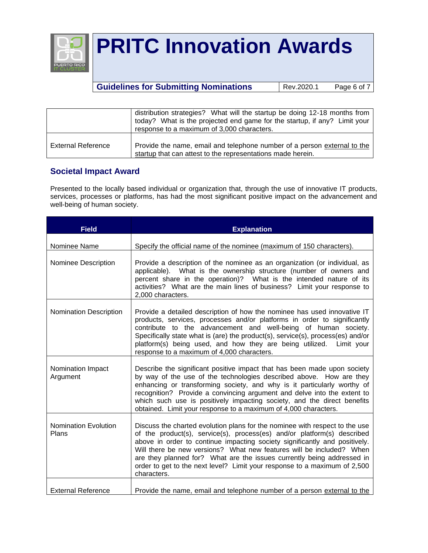

### **Guidelines for Submitting Nominations** | Rev.2020.1 Page 6 of 7

|                    | distribution strategies? What will the startup be doing 12-18 months from<br>today? What is the projected end game for the startup, if any? Limit your<br>response to a maximum of 3,000 characters. |
|--------------------|------------------------------------------------------------------------------------------------------------------------------------------------------------------------------------------------------|
|                    |                                                                                                                                                                                                      |
| External Reference | Provide the name, email and telephone number of a person external to the<br>startup that can attest to the representations made herein.                                                              |

### **Societal Impact Award**

Presented to the locally based individual or organization that, through the use of innovative IT products, services, processes or platforms, has had the most significant positive impact on the advancement and well-being of human society.

| <b>Field</b>                         | <b>Explanation</b>                                                                                                                                                                                                                                                                                                                                                                                                                                                                 |  |  |
|--------------------------------------|------------------------------------------------------------------------------------------------------------------------------------------------------------------------------------------------------------------------------------------------------------------------------------------------------------------------------------------------------------------------------------------------------------------------------------------------------------------------------------|--|--|
| Nominee Name                         | Specify the official name of the nominee (maximum of 150 characters).                                                                                                                                                                                                                                                                                                                                                                                                              |  |  |
| Nominee Description                  | Provide a description of the nominee as an organization (or individual, as<br>applicable). What is the ownership structure (number of owners and<br>percent share in the operation)? What is the intended nature of its<br>activities? What are the main lines of business? Limit your response to<br>2,000 characters.                                                                                                                                                            |  |  |
| Nomination Description               | Provide a detailed description of how the nominee has used innovative IT<br>products, services, processes and/or platforms in order to significantly<br>contribute to the advancement and well-being of human society.<br>Specifically state what is (are) the product(s), service(s), process(es) and/or<br>platform(s) being used, and how they are being utilized. Limit your<br>response to a maximum of 4,000 characters.                                                     |  |  |
| Nomination Impact<br>Argument        | Describe the significant positive impact that has been made upon society<br>by way of the use of the technologies described above. How are they<br>enhancing or transforming society, and why is it particularly worthy of<br>recognition? Provide a convincing argument and delve into the extent to<br>which such use is positively impacting society, and the direct benefits<br>obtained. Limit your response to a maximum of 4,000 characters.                                |  |  |
| <b>Nomination Evolution</b><br>Plans | Discuss the charted evolution plans for the nominee with respect to the use<br>of the product(s), service(s), process(es) and/or platform(s) described<br>above in order to continue impacting society significantly and positively.<br>Will there be new versions? What new features will be included? When<br>are they planned for? What are the issues currently being addressed in<br>order to get to the next level? Limit your response to a maximum of 2,500<br>characters. |  |  |
| <b>External Reference</b>            | Provide the name, email and telephone number of a person external to the                                                                                                                                                                                                                                                                                                                                                                                                           |  |  |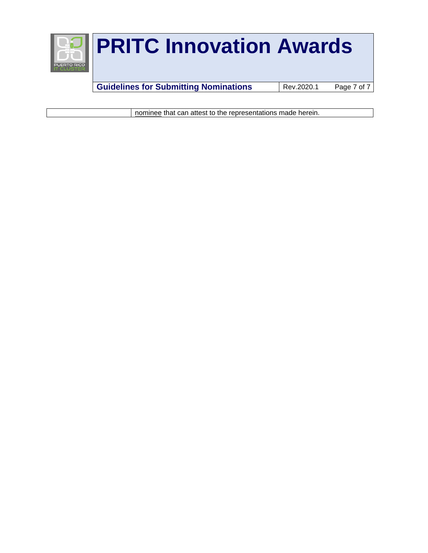

**Guidelines for Submitting Nominations** Rev.2020.1 Page 7 of 7

nominee that can attest to the representations made herein.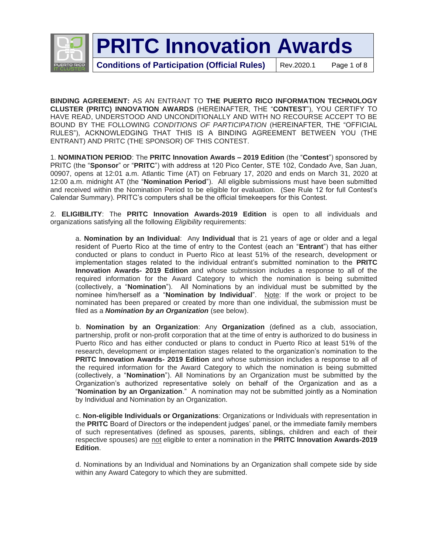

**Conditions of Participation (Official Rules)** | Rev.2020.1 Page 1 of 8

**BINDING AGREEMENT:** AS AN ENTRANT TO **THE PUERTO RICO INFORMATION TECHNOLOGY CLUSTER (PRITC) INNOVATION AWARDS** (HEREINAFTER, THE "**CONTEST**"), YOU CERTIFY TO HAVE READ, UNDERSTOOD AND UNCONDITIONALLY AND WITH NO RECOURSE ACCEPT TO BE BOUND BY THE FOLLOWING *CONDITIONS OF PARTICIPATION* (HEREINAFTER, THE "OFFICIAL RULES"), ACKNOWLEDGING THAT THIS IS A BINDING AGREEMENT BETWEEN YOU (THE ENTRANT) AND PRITC (THE SPONSOR) OF THIS CONTEST.

1. **NOMINATION PERIOD**: The **PRITC Innovation Awards – 2019 Edition** (the "**Contest**") sponsored by PRITC (the "**Sponsor**" or "**PRITC**") with address at 120 Pico Center, STE 102, Condado Ave, San Juan, 00907, opens at 12:01 a.m. Atlantic Time (AT) on February 17, 2020 and ends on March 31, 2020 at 12:00 a.m. midnight AT (the "**Nomination Period**"). All eligible submissions must have been submitted and received within the Nomination Period to be eligible for evaluation. (See Rule 12 for full Contest's Calendar Summary). PRITC's computers shall be the official timekeepers for this Contest.

2. **ELIGIBILITY**: The **PRITC Innovation Awards-2019 Edition** is open to all individuals and organizations satisfying all the following *Eligibility* requirements:

a. **Nomination by an Individual**: Any **Individual** that is 21 years of age or older and a legal resident of Puerto Rico at the time of entry to the Contest (each an "**Entrant**") that has either conducted or plans to conduct in Puerto Rico at least 51% of the research, development or implementation stages related to the individual entrant's submitted nomination to the **PRITC Innovation Awards- 2019 Edition** and whose submission includes a response to all of the required information for the Award Category to which the nomination is being submitted (collectively, a "**Nomination**"). All Nominations by an individual must be submitted by the nominee him/herself as a "**Nomination by Individual**". Note: If the work or project to be nominated has been prepared or created by more than one individual, the submission must be filed as a *Nomination by an Organization* (see below).

b. **Nomination by an Organization**: Any **Organization** (defined as a club, association, partnership, profit or non-profit corporation that at the time of entry is authorized to do business in Puerto Rico and has either conducted or plans to conduct in Puerto Rico at least 51% of the research, development or implementation stages related to the organization's nomination to the **PRITC Innovation Awards- 2019 Edition** and whose submission includes a response to all of the required information for the Award Category to which the nomination is being submitted (collectively, a "**Nomination**"). All Nominations by an Organization must be submitted by the Organization's authorized representative solely on behalf of the Organization and as a "**Nomination by an Organization**." A nomination may not be submitted jointly as a Nomination by Individual and Nomination by an Organization.

c. **Non-eligible Individuals or Organizations**: Organizations or Individuals with representation in the **PRITC** Board of Directors or the independent judges' panel, or the immediate family members of such representatives (defined as spouses, parents, siblings, children and each of their respective spouses) are not eligible to enter a nomination in the **PRITC Innovation Awards-2019 Edition**.

d. Nominations by an Individual and Nominations by an Organization shall compete side by side within any Award Category to which they are submitted.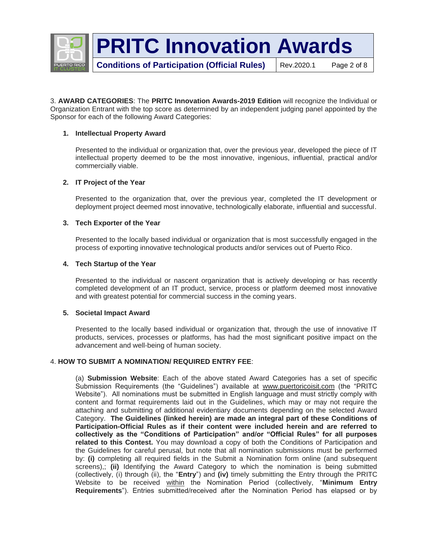

3. **AWARD CATEGORIES**: The **PRITC Innovation Awards-2019 Edition** will recognize the Individual or Organization Entrant with the top score as determined by an independent judging panel appointed by the Sponsor for each of the following Award Categories:

#### **1. Intellectual Property Award**

Presented to the individual or organization that, over the previous year, developed the piece of IT intellectual property deemed to be the most innovative, ingenious, influential, practical and/or commercially viable.

#### **2. IT Project of the Year**

Presented to the organization that, over the previous year, completed the IT development or deployment project deemed most innovative, technologically elaborate, influential and successful.

### **3. Tech Exporter of the Year**

Presented to the locally based individual or organization that is most successfully engaged in the process of exporting innovative technological products and/or services out of Puerto Rico.

#### **4. Tech Startup of the Year**

Presented to the individual or nascent organization that is actively developing or has recently completed development of an IT product, service, process or platform deemed most innovative and with greatest potential for commercial success in the coming years.

#### **5. Societal Impact Award**

Presented to the locally based individual or organization that, through the use of innovative IT products, services, processes or platforms, has had the most significant positive impact on the advancement and well-being of human society.

#### 4. **HOW TO SUBMIT A NOMINATION/ REQUIRED ENTRY FEE**:

(a) **Submission Website**: Each of the above stated Award Categories has a set of specific Submission Requirements (the "Guidelines") available at [www.puertoricoisit.com](http://www.puertoricoisit.com/) (the "PRITC Website"). All nominations must be submitted in English language and must strictly comply with content and format requirements laid out in the Guidelines, which may or may not require the attaching and submitting of additional evidentiary documents depending on the selected Award Category. **The Guidelines (linked herein) are made an integral part of these Conditions of Participation-Official Rules as if their content were included herein and are referred to collectively as the "Conditions of Participation" and/or "Official Rules" for all purposes related to this Contest.** You may download a copy of both the Conditions of Participation and the Guidelines for careful perusal, but note that all nomination submissions must be performed by: **(i)** completing all required fields in the Submit a Nomination form online (and subsequent screens),; **(ii)** Identifying the Award Category to which the nomination is being submitted (collectively, (i) through (ii), the "**Entry**") and **(iv)** timely submitting the Entry through the PRITC Website to be received within the Nomination Period (collectively, "**Minimum Entry Requirements**"). Entries submitted/received after the Nomination Period has elapsed or by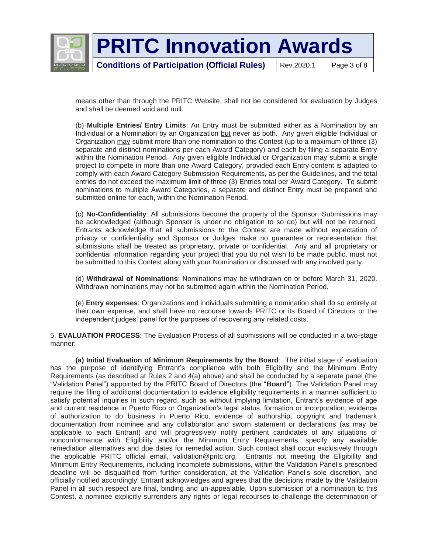

**Conditions of Participation (Official Rules)** | Rev.2020.1 Page 3 of 8

means other than through the PRITC Website, shall not be considered for evaluation by Judges and shall be deemed void and null.

(b) **Multiple Entries/ Entry Limits**: An Entry must be submitted either as a Nomination by an Individual or a Nomination by an Organization but never as both. Any given eligible Individual or Organization may submit more than one nomination to this Contest (up to a maximum of three (3) separate and distinct nominations per each Award Category) and each by filing a separate Entry within the Nomination Period. Any given eligible Individual or Organization may submit a single project to compete in more than one Award Category, provided each Entry content is adapted to comply with each Award Category Submission Requirements, as per the Guidelines, and the total entries do not exceed the maximum limit of three (3) Entries total per Award Category. To submit nominations to multiple Award Categories, a separate and distinct Entry must be prepared and submitted online for each, within the Nomination Period.

(c) **No-Confidentiality**: All submissions become the property of the Sponsor. Submissions may be acknowledged (although Sponsor is under no obligation to so do) but will not be returned. Entrants acknowledge that all submissions to the Contest are made without expectation of privacy or confidentiality and Sponsor or Judges make no guarantee or representation that submissions shall be treated as proprietary, private or confidential. Any and all proprietary or confidential information regarding your project that you do not wish to be made public, must not be submitted to this Contest along with your Nomination or discussed with any involved party.

(d) **Withdrawal of Nominations**: Nominations may be withdrawn on or before March 31, 2020. Withdrawn nominations may not be submitted again within the Nomination Period.

(e) **Entry expenses**: Organizations and individuals submitting a nomination shall do so entirely at their own expense, and shall have no recourse towards PRITC or its Board of Directors or the independent judges' panel for the purposes of recovering any related costs.

5. **EVALUATION PROCESS**: The Evaluation Process of all submissions will be conducted in a two-stage manner:

**(a) Initial Evaluation of Minimum Requirements by the Board**: The initial stage of evaluation has the purpose of identifying Entrant's compliance with both Eligibility and the Minimum Entry Requirements (as described at Rules 2 and 4(a) above) and shall be conducted by a separate panel (the "Validation Panel") appointed by the PRITC Board of Directors (the "**Board**"). The Validation Panel may require the filing of additional documentation to evidence eligibility requirements in a manner sufficient to satisfy potential inquiries in such regard, such as without implying limitation, Entrant's evidence of age and current residence in Puerto Rico or Organization's legal status, formation or incorporation, evidence of authorization to do business in Puerto Rico, evidence of authorship, copyright and trademark documentation from nominee and any collaborator and sworn statement or declarations (as may be applicable to each Entrant) and will progressively notify pertinent candidates of any situations of nonconformance with Eligibility and/or the Minimum Entry Requirements, specify any available remediation alternatives and due dates for remedial action. Such contact shall occur exclusively through the applicable PRITC official email, [validation@pritc.org.](mailto:validation@pritc.org) Entrants not meeting the Eligibility and Minimum Entry Requirements, including incomplete submissions, within the Validation Panel's prescribed deadline will be disqualified from further consideration, at the Validation Panel's sole discretion, and officially notified accordingly. Entrant acknowledges and agrees that the decisions made by the Validation Panel in all such respect are final, binding and un-appealable. Upon submission of a nomination to this Contest, a nominee explicitly surrenders any rights or legal recourses to challenge the determination of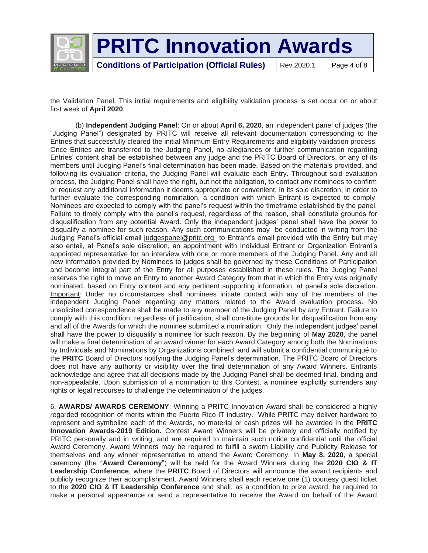

**Conditions of Participation (Official Rules)** | Rev.2020.1 Page 4 of 8

the Validation Panel. This initial requirements and eligibility validation process is set occur on or about first week of **April 2020**.

(b) **Independent Judging Panel**: On or about **April 6, 2020**, an independent panel of judges (the "Judging Panel") designated by PRITC will receive all relevant documentation corresponding to the Entries that successfully cleared the initial Minimum Entry Requirements and eligibility validation process. Once Entries are transferred to the Judging Panel, no allegiances or further communication regarding Entries' content shall be established between any judge and the PRITC Board of Directors, or any of its members until Judging Panel's final determination has been made. Based on the materials provided, and following its evaluation criteria, the Judging Panel will evaluate each Entry. Throughout said evaluation process, the Judging Panel shall have the right, but not the obligation, to contact any nominees to confirm or request any additional information it deems appropriate or convenient, in its sole discretion, in order to further evaluate the corresponding nomination, a condition with which Entrant is expected to comply. Nominees are expected to comply with the panel's request within the timeframe established by the panel. Failure to timely comply with the panel's request, regardless of the reason, shall constitute grounds for disqualification from any potential Award. Only the independent judges' panel shall have the power to disqualify a nominee for such reason. Any such communications may be conducted in writing from the Judging Panel's official email [judgespanel@pritc.org](mailto:judgespanel@pritc.org) to Entrant's email provided with the Entry but may also entail, at Panel's sole discretion, an appointment with Individual Entrant or Organization Entrant's appointed representative for an interview with one or more members of the Judging Panel. Any and all new information provided by Nominees to judges shall be governed by these Conditions of Participation and become integral part of the Entry for all purposes established in these rules. The Judging Panel reserves the right to move an Entry to another Award Category from that in which the Entry was originally nominated, based on Entry content and any pertinent supporting information, at panel's sole discretion. Important: Under no circumstances shall nominees initiate contact with any of the members of the independent Judging Panel regarding any matters related to the Award evaluation process. No unsolicited correspondence shall be made to any member of the Judging Panel by any Entrant. Failure to comply with this condition, regardless of justification, shall constitute grounds for disqualification from any and all of the Awards for which the nominee submitted a nomination. Only the independent judges' panel shall have the power to disqualify a nominee for such reason. By the beginning of **May 2020**, the panel will make a final determination of an award winner for each Award Category among both the Nominations by Individuals and Nominations by Organizations combined, and will submit a confidential communiqué to the **PRITC** Board of Directors notifying the Judging Panel's determination. The PRITC Board of Directors does not have any authority or visibility over the final determination of any Award Winners. Entrants acknowledge and agree that all decisions made by the Judging Panel shall be deemed final, binding and non-appealable. Upon submission of a nomination to this Contest, a nominee explicitly surrenders any rights or legal recourses to challenge the determination of the judges.

6. **AWARDS/ AWARDS CEREMONY**: Winning a PRITC Innovation Award shall be considered a highly regarded recognition of merits within the Puerto Rico IT industry. While PRITC may deliver hardware to represent and symbolize each of the Awards, no material or cash prizes will be awarded in the **PRITC Innovation Awards-2019 Edition.** Contest Award Winners will be privately and officially notified by PRITC personally and in writing, and are required to maintain such notice confidential until the official Award Ceremony. Award Winners may be required to fulfill a sworn Liability and Publicity Release for themselves and any winner representative to attend the Award Ceremony. In **May 8, 2020**, a special ceremony (the "**Award Ceremony**") will be held for the Award Winners during the **2020 CIO & IT Leadership Conference**, where the **PRITC** Board of Directors will announce the award recipients and publicly recognize their accomplishment. Award Winners shall each receive one (1) courtesy guest ticket to the **2020 CIO & IT Leadership Conference** and shall, as a condition to prize award, be required to make a personal appearance or send a representative to receive the Award on behalf of the Award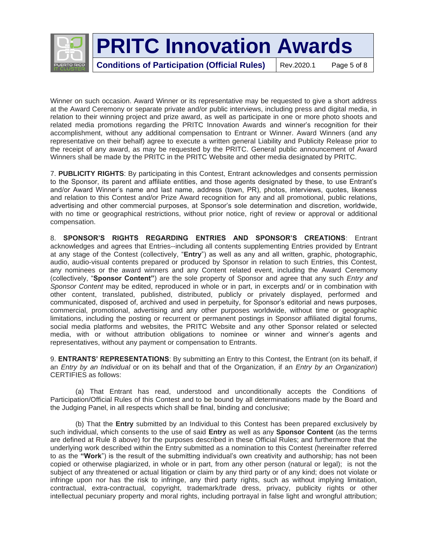

**Conditions of Participation (Official Rules)** | Rev.2020.1 Page 5 of 8

Winner on such occasion. Award Winner or its representative may be requested to give a short address at the Award Ceremony or separate private and/or public interviews, including press and digital media, in relation to their winning project and prize award, as well as participate in one or more photo shoots and related media promotions regarding the PRITC Innovation Awards and winner's recognition for their accomplishment, without any additional compensation to Entrant or Winner. Award Winners (and any representative on their behalf) agree to execute a written general Liability and Publicity Release prior to the receipt of any award, as may be requested by the PRITC. General public announcement of Award Winners shall be made by the PRITC in the PRITC Website and other media designated by PRITC.

7. **PUBLICITY RIGHTS**: By participating in this Contest, Entrant acknowledges and consents permission to the Sponsor, its parent and affiliate entities, and those agents designated by these, to use Entrant's and/or Award Winner's name and last name, address (town, PR), photos, interviews, quotes, likeness and relation to this Contest and/or Prize Award recognition for any and all promotional, public relations, advertising and other commercial purposes, at Sponsor's sole determination and discretion, worldwide, with no time or geographical restrictions, without prior notice, right of review or approval or additional compensation.

8. **SPONSOR'S RIGHTS REGARDING ENTRIES AND SPONSOR'S CREATIONS**: Entrant acknowledges and agrees that Entries--including all contents supplementing Entries provided by Entrant at any stage of the Contest (collectively, "**Entry**") as well as any and all written, graphic, photographic, audio, audio-visual contents prepared or produced by Sponsor in relation to such Entries, this Contest, any nominees or the award winners and any Content related event, including the Award Ceremony (collectively, "**Sponsor Content"**) are the sole property of Sponsor and agree that any such *Entry and Sponsor Content* may be edited, reproduced in whole or in part, in excerpts and/ or in combination with other content, translated, published, distributed, publicly or privately displayed, performed and communicated, disposed of, archived and used in perpetuity, for Sponsor's editorial and news purposes, commercial, promotional, advertising and any other purposes worldwide, without time or geographic limitations, including the posting or recurrent or permanent postings in Sponsor affiliated digital forums, social media platforms and websites, the PRITC Website and any other Sponsor related or selected media, with or without attribution obligations to nominee or winner and winner's agents and representatives, without any payment or compensation to Entrants.

9. **ENTRANTS' REPRESENTATIONS**: By submitting an Entry to this Contest, the Entrant (on its behalf, if an *Entry by an Individual* or on its behalf and that of the Organization, if an *Entry by an Organization*) CERTIFIES as follows:

(a) That Entrant has read, understood and unconditionally accepts the Conditions of Participation/Official Rules of this Contest and to be bound by all determinations made by the Board and the Judging Panel, in all respects which shall be final, binding and conclusive;

(b) That the **Entry** submitted by an Individual to this Contest has been prepared exclusively by such individual, which consents to the use of said **Entry** as well as any **Sponsor Content** (as the terms are defined at Rule 8 above) for the purposes described in these Official Rules; and furthermore that the underlying work described within the Entry submitted as a nomination to this Contest (hereinafter referred to as the **"Work**") is the result of the submitting individual's own creativity and authorship; has not been copied or otherwise plagiarized, in whole or in part, from any other person (natural or legal); is not the subject of any threatened or actual litigation or claim by any third party or of any kind; does not violate or infringe upon nor has the risk to infringe, any third party rights, such as without implying limitation, contractual, extra-contractual, copyright, trademark/trade dress, privacy, publicity rights or other intellectual pecuniary property and moral rights, including portrayal in false light and wrongful attribution;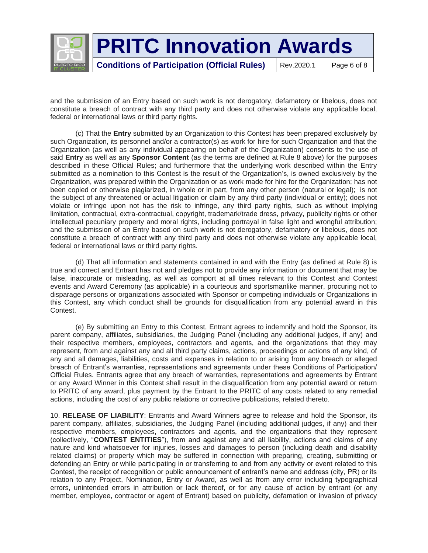

and the submission of an Entry based on such work is not derogatory, defamatory or libelous, does not constitute a breach of contract with any third party and does not otherwise violate any applicable local, federal or international laws or third party rights.

(c) That the **Entry** submitted by an Organization to this Contest has been prepared exclusively by such Organization, its personnel and/or a contractor(s) as work for hire for such Organization and that the Organization (as well as any individual appearing on behalf of the Organization) consents to the use of said **Entry** as well as any **Sponsor Content** (as the terms are defined at Rule 8 above) for the purposes described in these Official Rules; and furthermore that the underlying work described within the Entry submitted as a nomination to this Contest is the result of the Organization's, is owned exclusively by the Organization, was prepared within the Organization or as work made for hire for the Organization; has not been copied or otherwise plagiarized, in whole or in part, from any other person (natural or legal); is not the subject of any threatened or actual litigation or claim by any third party (individual or entity); does not violate or infringe upon not has the risk to infringe, any third party rights, such as without implying limitation, contractual, extra-contractual, copyright, trademark/trade dress, privacy, publicity rights or other intellectual pecuniary property and moral rights, including portrayal in false light and wrongful attribution; and the submission of an Entry based on such work is not derogatory, defamatory or libelous, does not constitute a breach of contract with any third party and does not otherwise violate any applicable local, federal or international laws or third party rights.

(d) That all information and statements contained in and with the Entry (as defined at Rule 8) is true and correct and Entrant has not and pledges not to provide any information or document that may be false, inaccurate or misleading, as well as comport at all times relevant to this Contest and Contest events and Award Ceremony (as applicable) in a courteous and sportsmanlike manner, procuring not to disparage persons or organizations associated with Sponsor or competing individuals or Organizations in this Contest, any which conduct shall be grounds for disqualification from any potential award in this Contest.

(e) By submitting an Entry to this Contest, Entrant agrees to indemnify and hold the Sponsor, its parent company, affiliates, subsidiaries, the Judging Panel (including any additional judges, if any) and their respective members, employees, contractors and agents, and the organizations that they may represent, from and against any and all third party claims, actions, proceedings or actions of any kind, of any and all damages, liabilities, costs and expenses in relation to or arising from any breach or alleged breach of Entrant's warranties, representations and agreements under these Conditions of Participation/ Official Rules. Entrants agree that any breach of warranties, representations and agreements by Entrant or any Award Winner in this Contest shall result in the disqualification from any potential award or return to PRITC of any award, plus payment by the Entrant to the PRITC of any costs related to any remedial actions, including the cost of any public relations or corrective publications, related thereto.

10. **RELEASE OF LIABILITY**: Entrants and Award Winners agree to release and hold the Sponsor, its parent company, affiliates, subsidiaries, the Judging Panel (including additional judges, if any) and their respective members, employees, contractors and agents, and the organizations that they represent (collectively, "**CONTEST ENTITIES**"), from and against any and all liability, actions and claims of any nature and kind whatsoever for injuries, losses and damages to person (including death and disability related claims) or property which may be suffered in connection with preparing, creating, submitting or defending an Entry or while participating in or transferring to and from any activity or event related to this Contest, the receipt of recognition or public announcement of entrant's name and address (city, PR) or its relation to any Project, Nomination, Entry or Award, as well as from any error including typographical errors, unintended errors in attribution or lack thereof, or for any cause of action by entrant (or any member, employee, contractor or agent of Entrant) based on publicity, defamation or invasion of privacy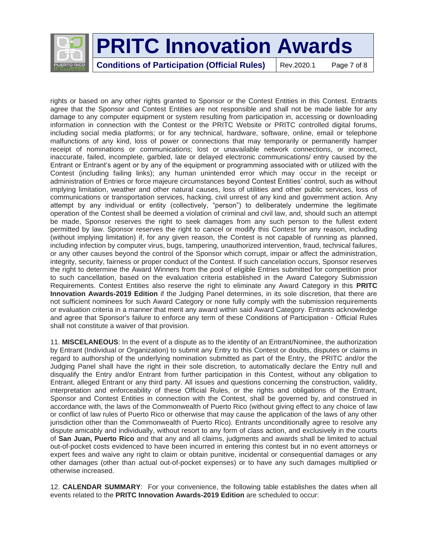

**Conditions of Participation (Official Rules)** | Rev.2020.1 Page 7 of 8

rights or based on any other rights granted to Sponsor or the Contest Entities in this Contest. Entrants agree that the Sponsor and Contest Entities are not responsible and shall not be made liable for any damage to any computer equipment or system resulting from participation in, accessing or downloading information in connection with the Contest or the PRITC Website or PRITC controlled digital forums, including social media platforms; or for any technical, hardware, software, online, email or telephone malfunctions of any kind, loss of power or connections that may temporarily or permanently hamper receipt of nominations or communications; lost or unavailable network connections, or incorrect, inaccurate, failed, incomplete, garbled, late or delayed electronic communications/ entry caused by the Entrant or Entrant's agent or by any of the equipment or programming associated with or utilized with the Contest (including failing links); any human unintended error which may occur in the receipt or administration of Entries or force majeure circumstances beyond Contest Entities' control, such as without implying limitation, weather and other natural causes, loss of utilities and other public services, loss of communications or transportation services, hacking, civil unrest of any kind and government action. Any attempt by any individual or entity (collectively, "person") to deliberately undermine the legitimate operation of the Contest shall be deemed a violation of criminal and civil law, and, should such an attempt be made, Sponsor reserves the right to seek damages from any such person to the fullest extent permitted by law. Sponsor reserves the right to cancel or modify this Contest for any reason, including (without implying limitation) if, for any given reason, the Contest is not capable of running as planned, including infection by computer virus, bugs, tampering, unauthorized intervention, fraud, technical failures, or any other causes beyond the control of the Sponsor which corrupt, impair or affect the administration, integrity, security, fairness or proper conduct of the Contest. If such cancelation occurs, Sponsor reserves the right to determine the Award Winners from the pool of eligible Entries submitted for competition prior to such cancellation, based on the evaluation criteria established in the Award Category Submission Requirements. Contest Entities also reserve the right to eliminate any Award Category in this **PRITC Innovation Awards-2019 Edition** if the Judging Panel determines, in its sole discretion, that there are not sufficient nominees for such Award Category or none fully comply with the submission requirements or evaluation criteria in a manner that merit any award within said Award Category. Entrants acknowledge and agree that Sponsor's failure to enforce any term of these Conditions of Participation - Official Rules shall not constitute a waiver of that provision.

11. **MISCELANEOUS**: In the event of a dispute as to the identity of an Entrant/Nominee, the authorization by Entrant (Individual or Organization) to submit any Entry to this Contest or doubts, disputes or claims in regard to authorship of the underlying nomination submitted as part of the Entry, the PRITC and/or the Judging Panel shall have the right in their sole discretion, to automatically declare the Entry null and disqualify the Entry and/or Entrant from further participation in this Contest, without any obligation to Entrant, alleged Entrant or any third party. All issues and questions concerning the construction, validity, interpretation and enforceability of these Official Rules, or the rights and obligations of the Entrant, Sponsor and Contest Entities in connection with the Contest, shall be governed by, and construed in accordance with, the laws of the Commonwealth of Puerto Rico (without giving effect to any choice of law or conflict of law rules of Puerto Rico or otherwise that may cause the application of the laws of any other jurisdiction other than the Commonwealth of Puerto Rico). Entrants unconditionally agree to resolve any dispute amicably and individually, without resort to any form of class action, and exclusively in the courts of **San Juan, Puerto Rico** and that any and all claims, judgments and awards shall be limited to actual out-of-pocket costs evidenced to have been incurred in entering this contest but in no event attorneys or expert fees and waive any right to claim or obtain punitive, incidental or consequential damages or any other damages (other than actual out-of-pocket expenses) or to have any such damages multiplied or otherwise increased.

12. **CALENDAR SUMMARY**: For your convenience, the following table establishes the dates when all events related to the **PRITC Innovation Awards-2019 Edition** are scheduled to occur: